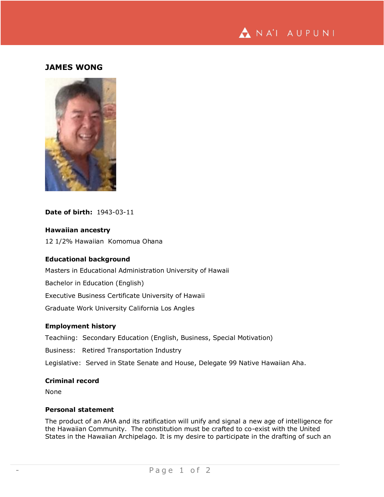

# **JAMES WONG**



# **Date of birth:** 1943-03-11

# **Hawaiian ancestry**

12 1/2% Hawaiian Komomua Ohana

# **Educational background**

Masters in Educational Administration University of Hawaii

Bachelor in Education (English)

Executive Business Certificate University of Hawaii

Graduate Work University California Los Angles

# **Employment history**

Teachiing: Secondary Education (English, Business, Special Motivation)

Business: Retired Transportation Industry

Legislative: Served in State Senate and House, Delegate 99 Native Hawaiian Aha.

# **Criminal record**

None

## **Personal statement**

The product of an AHA and its ratification will unify and signal a new age of intelligence for the Hawaiian Community. The constitution must be crafted to co-exist with the United States in the Hawaiian Archipelago. It is my desire to participate in the drafting of such an